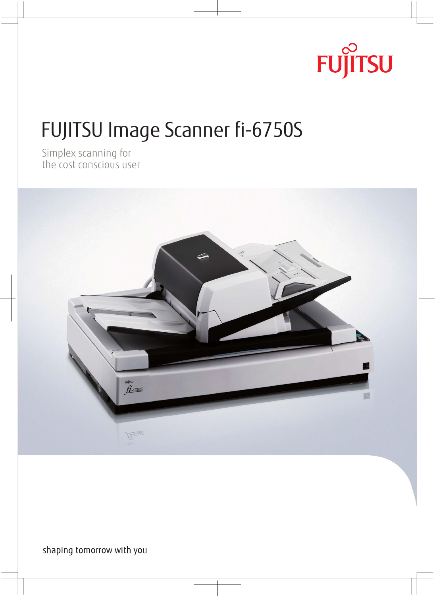

# FUJITSU Image Scanner fi-6750S

simples scanning for



shaping tomorrow with you